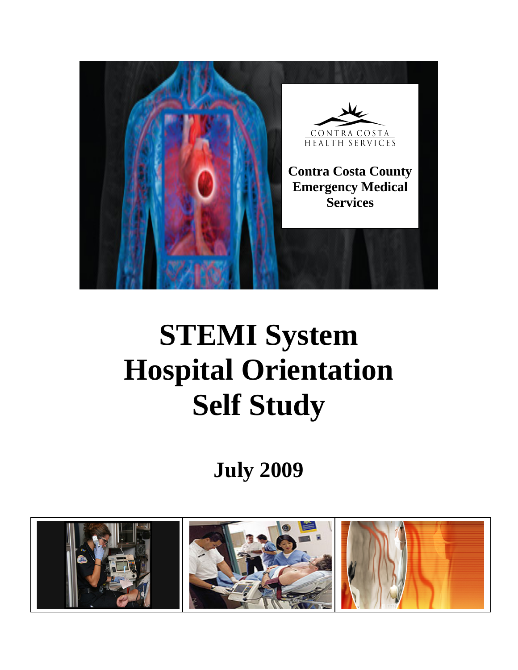

# **STEMI System Hospital Orientation Self Study**

## **July 2009**

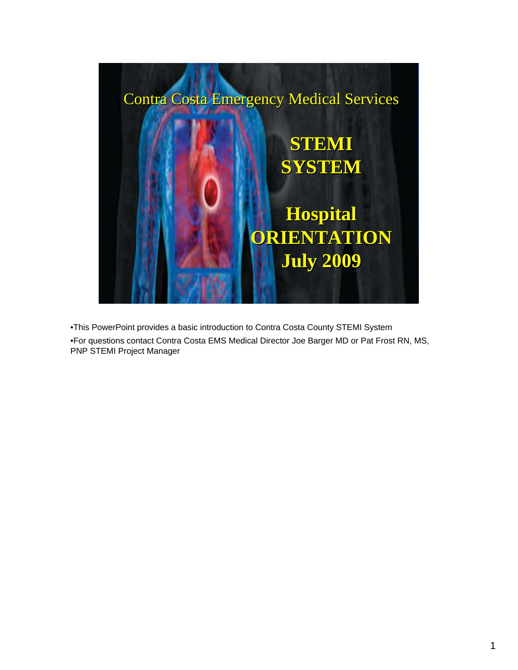

•This PowerPoint provides a basic introduction to Contra Costa County STEMI System •For questions contact Contra Costa EMS Medical Director Joe Barger MD or Pat Frost RN, MS, PNP STEMI Project Manager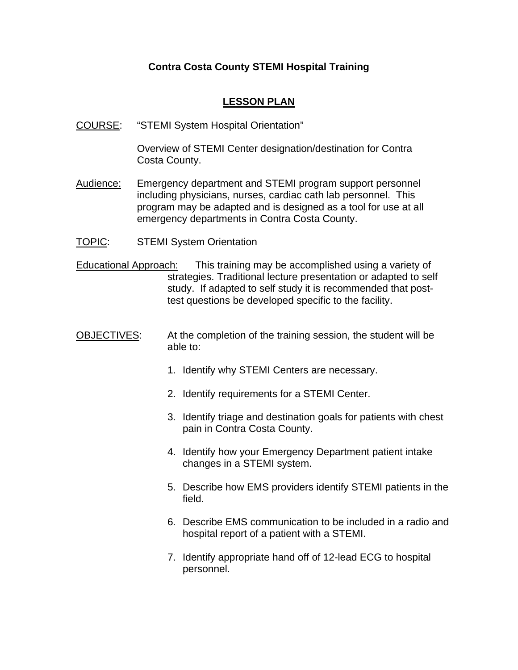### **LESSON PLAN**

COURSE: "STEMI System Hospital Orientation"

Overview of STEMI Center designation/destination for Contra Costa County.

- Audience: Emergency department and STEMI program support personnel including physicians, nurses, cardiac cath lab personnel. This program may be adapted and is designed as a tool for use at all emergency departments in Contra Costa County.
- TOPIC: STEMI System Orientation
- Educational Approach: This training may be accomplished using a variety of strategies. Traditional lecture presentation or adapted to self study. If adapted to self study it is recommended that posttest questions be developed specific to the facility.
- OBJECTIVES: At the completion of the training session, the student will be able to:
	- 1. Identify why STEMI Centers are necessary.
	- 2. Identify requirements for a STEMI Center.
	- 3. Identify triage and destination goals for patients with chest pain in Contra Costa County.
	- 4. Identify how your Emergency Department patient intake changes in a STEMI system.
	- 5. Describe how EMS providers identify STEMI patients in the field.
	- 6. Describe EMS communication to be included in a radio and hospital report of a patient with a STEMI.
	- 7. Identify appropriate hand off of 12-lead ECG to hospital personnel.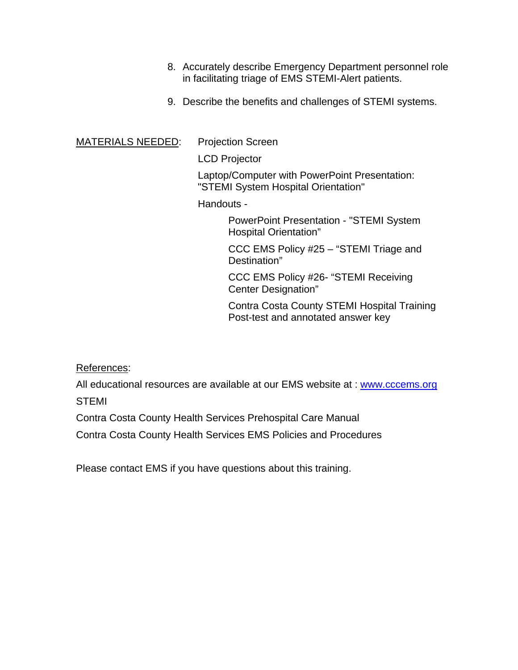- 8. Accurately describe Emergency Department personnel role in facilitating triage of EMS STEMI-Alert patients.
- 9. Describe the benefits and challenges of STEMI systems.

### MATERIALS NEEDED: Projection Screen

LCD Projector

Laptop/Computer with PowerPoint Presentation: "STEMI System Hospital Orientation"

Handouts -

PowerPoint Presentation - "STEMI System Hospital Orientation"

CCC EMS Policy #25 – "STEMI Triage and Destination"

CCC EMS Policy #26- "STEMI Receiving Center Designation"

Contra Costa County STEMI Hospital Training Post-test and annotated answer key

References:

All educational resources are available at our EMS website at : [www.cccems.org](http://www.cccems.org/) STEMI

Contra Costa County Health Services Prehospital Care Manual

Contra Costa County Health Services EMS Policies and Procedures

Please contact EMS if you have questions about this training.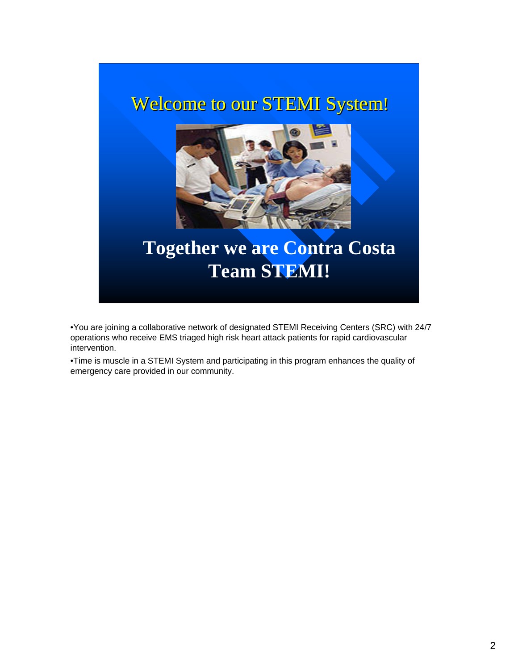## Welcome to our STEMI System!



## **Together we are Contra Costa Team STEMI!**

•You are joining a collaborative network of designated STEMI Receiving Centers (SRC) with 24/7 operations who receive EMS triaged high risk heart attack patients for rapid cardiovascular intervention.

•Time is muscle in a STEMI System and participating in this program enhances the quality of emergency care provided in our community.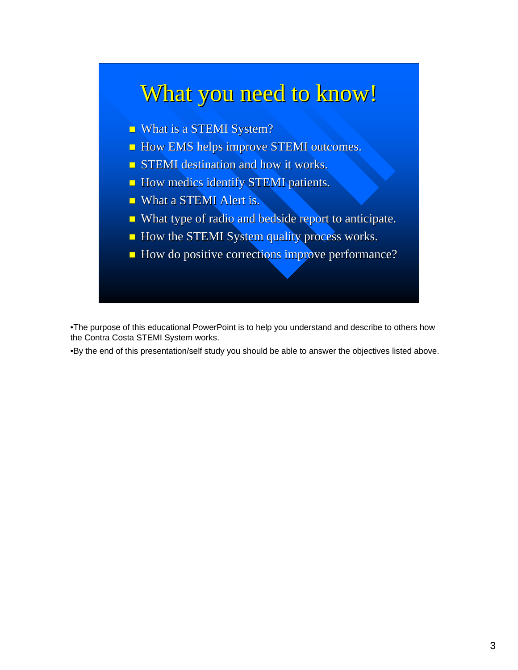## What you need to know!

- **What is a STEMI System?**
- **How EMS helps improve STEMI outcomes.**
- $\blacksquare$  STEMI destination and how it works.
- **How medics identify STEMI patients.**
- **NHAT ALERGE METER IS.** What a STEMI Alert is.
- What type of radio and bedside report to anticipate.
- How the STEMI System quality process works.
- How do positive corrections improve performance?

•The purpose of this educational PowerPoint is to help you understand and describe to others how the Contra Costa STEMI System works.

•By the end of this presentation/self study you should be able to answer the objectives listed above.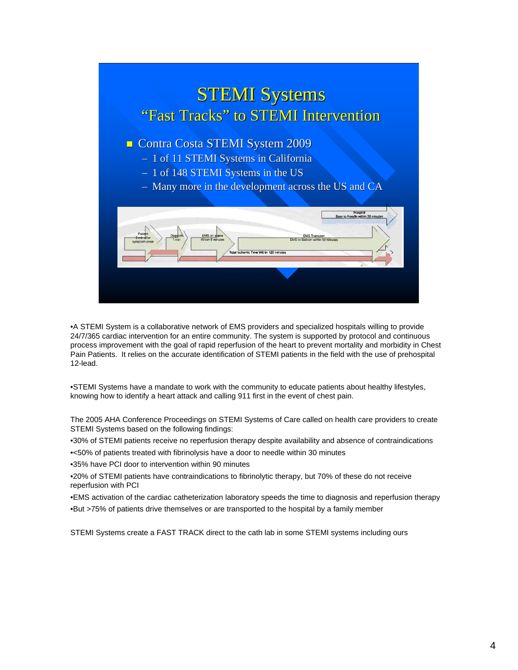

•A STEMI System is a collaborative network of EMS providers and specialized hospitals willing to provide 24/7/365 cardiac intervention for an entire community. The system is supported by protocol and continuous process improvement with the goal of rapid reperfusion of the heart to prevent mortality and morbidity in Chest Pain Patients. It relies on the accurate identification of STEMI patients in the field with the use of prehospital 12-lead.

•STEMI Systems have a mandate to work with the community to educate patients about healthy lifestyles, knowing how to identify a heart attack and calling 911 first in the event of chest pain.

The 2005 AHA Conference Proceedings on STEMI Systems of Care called on health care providers to create STEMI Systems based on the following findings:

•30% of STEMI patients receive no reperfusion therapy despite availability and absence of contraindications

•<50% of patients treated with fibrinolysis have a door to needle within 30 minutes

•35% have PCI door to intervention within 90 minutes

•20% of STEMI patients have contraindications to fibrinolytic therapy, but 70% of these do not receive reperfusion with PCI

•EMS activation of the cardiac catheterization laboratory speeds the time to diagnosis and reperfusion therapy •But >75% of patients drive themselves or are transported to the hospital by a family member

STEMI Systems create a FAST TRACK direct to the cath lab in some STEMI systems including ours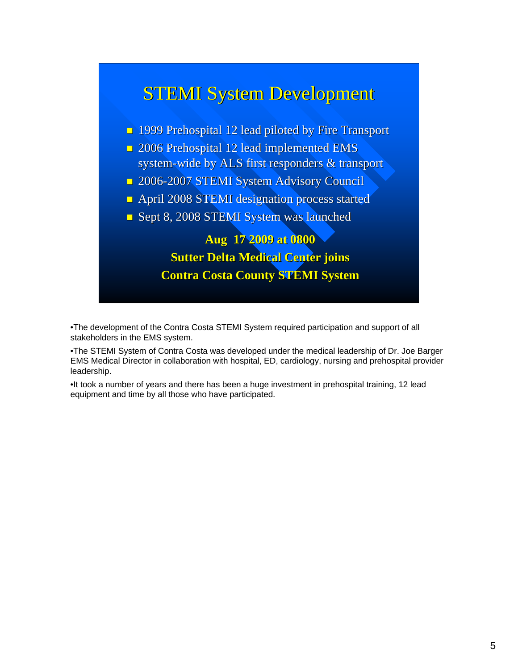

•The development of the Contra Costa STEMI System required participation and support of all stakeholders in the EMS system.

•The STEMI System of Contra Costa was developed under the medical leadership of Dr. Joe Barger EMS Medical Director in collaboration with hospital, ED, cardiology, nursing and prehospital provider leadership.

•It took a number of years and there has been a huge investment in prehospital training, 12 lead equipment and time by all those who have participated.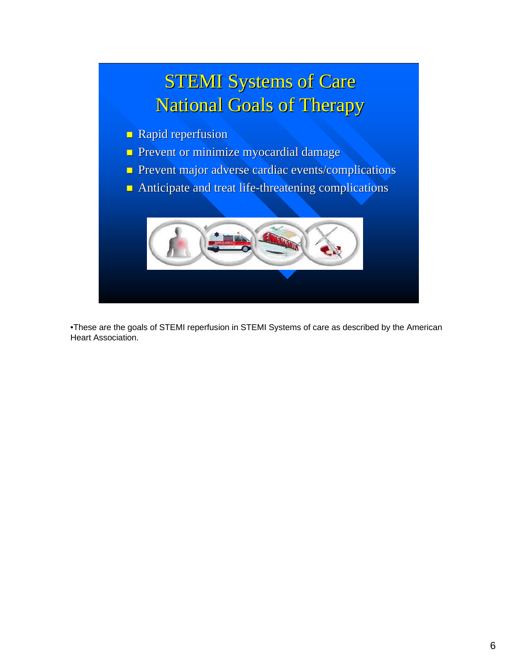

•These are the goals of STEMI reperfusion in STEMI Systems of care as described by the American Heart Association.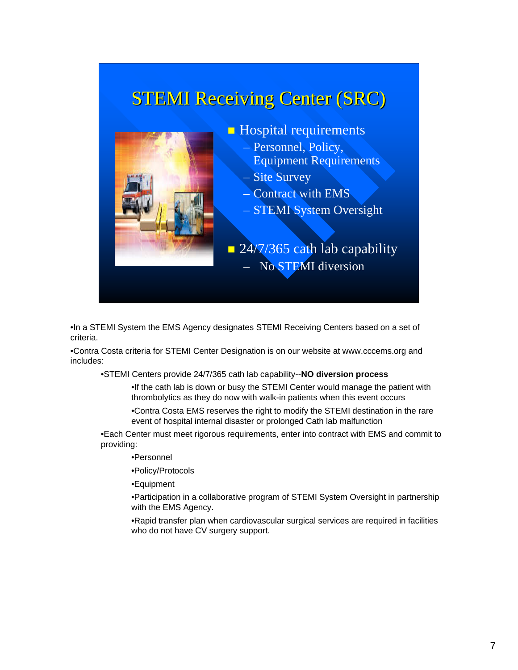## **STEMI Receiving Center (SRC)**



- **Hospital requirements** 
	- Personnel, Policy, Equipment Requirements
	- Site Survey
	- Contract with EMS
	- STEMI System Oversight

 $\Box$  24/7/365 cath lab capability – No STEMI diversion

•In a STEMI System the EMS Agency designates STEMI Receiving Centers based on a set of criteria.

•Contra Costa criteria for STEMI Center Designation is on our website at www.cccems.org and includes:

•STEMI Centers provide 24/7/365 cath lab capability--**NO diversion process**

•If the cath lab is down or busy the STEMI Center would manage the patient with thrombolytics as they do now with walk-in patients when this event occurs

•Contra Costa EMS reserves the right to modify the STEMI destination in the rare event of hospital internal disaster or prolonged Cath lab malfunction

•Each Center must meet rigorous requirements, enter into contract with EMS and commit to providing:

- •Personnel
- •Policy/Protocols
- •Equipment

•Participation in a collaborative program of STEMI System Oversight in partnership with the EMS Agency.

•Rapid transfer plan when cardiovascular surgical services are required in facilities who do not have CV surgery support.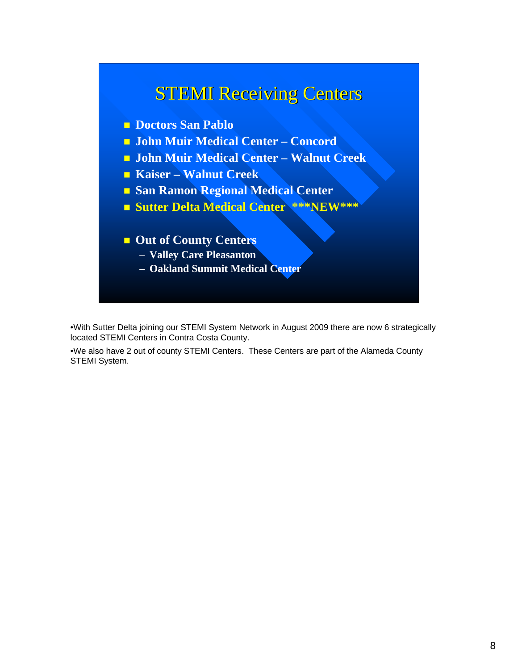### **STEMI Receiving Centers**

- **Doctors San Pablo**
- **John Muir Medical Center Concord**
- **John Muir Medical Center Walnut Creek**
- **Kaiser Walnut Creek**
- **San Ramon Regional Medical Center**
- **Sutter Delta Medical Center \*\*\*NEW\*\*\***
- **Out of County Centers** 
	- **Valley Care Pleasanton**
	- **Oakland Summit Medical Center**

•With Sutter Delta joining our STEMI System Network in August 2009 there are now 6 strategically located STEMI Centers in Contra Costa County.

•We also have 2 out of county STEMI Centers. These Centers are part of the Alameda County STEMI System.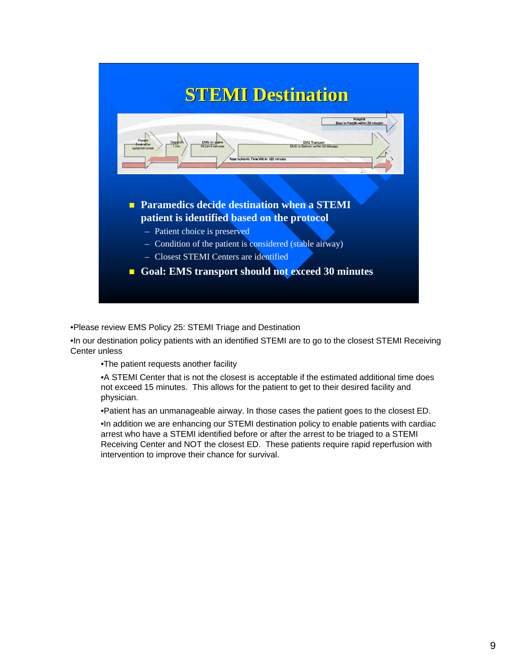

•Please review EMS Policy 25: STEMI Triage and Destination

•In our destination policy patients with an identified STEMI are to go to the closest STEMI Receiving Center unless

•The patient requests another facility

•A STEMI Center that is not the closest is acceptable if the estimated additional time does not exceed 15 minutes. This allows for the patient to get to their desired facility and physician.

•Patient has an unmanageable airway. In those cases the patient goes to the closest ED.

•In addition we are enhancing our STEMI destination policy to enable patients with cardiac arrest who have a STEMI identified before or after the arrest to be triaged to a STEMI Receiving Center and NOT the closest ED. These patients require rapid reperfusion with intervention to improve their chance for survival.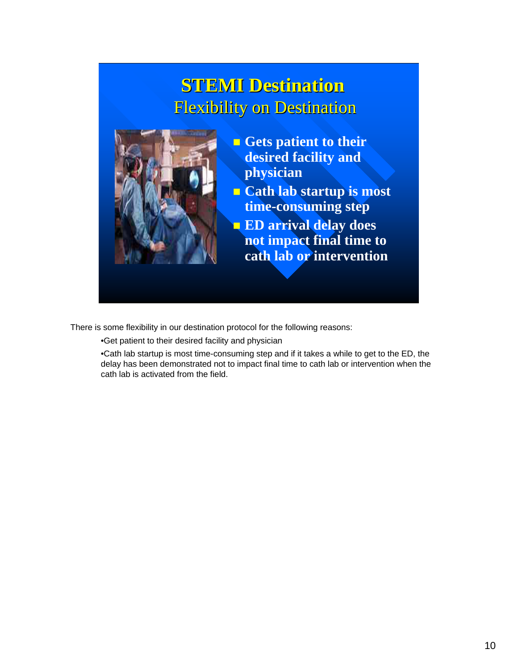## **STEMI Destination STEMI Destination** Flexibility on Destination



- **Gets patient to their desired facility and physician**
- **Cath lab startup is most time-consuming step**
- **ED arrival delay does not impact final time to cath lab or intervention**

There is some flexibility in our destination protocol for the following reasons:

•Get patient to their desired facility and physician

•Cath lab startup is most time-consuming step and if it takes a while to get to the ED, the delay has been demonstrated not to impact final time to cath lab or intervention when the cath lab is activated from the field.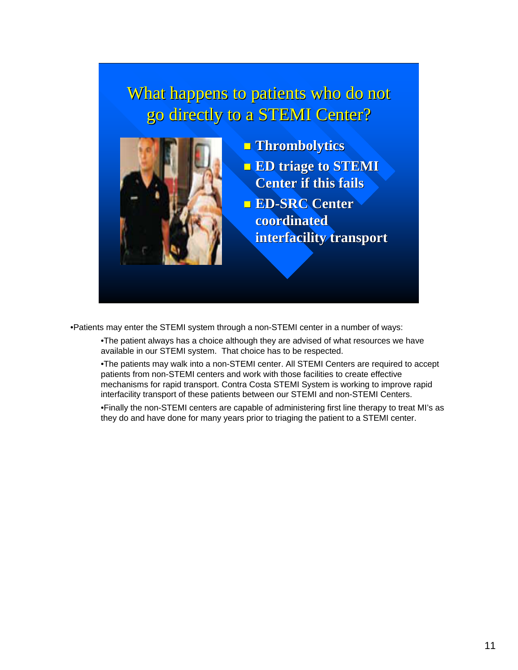### What happens to patients who do not go directly to a STEMI Center?



- **Thrombolytics Thrombolytics ED triage to STEMI Center if this fails Center if this fails ED-SRC Center** 
	- **coordinated interfacility transport interfacility transport**

•Patients may enter the STEMI system through a non-STEMI center in a number of ways:

•The patient always has a choice although they are advised of what resources we have available in our STEMI system. That choice has to be respected.

•The patients may walk into a non-STEMI center. All STEMI Centers are required to accept patients from non-STEMI centers and work with those facilities to create effective mechanisms for rapid transport. Contra Costa STEMI System is working to improve rapid interfacility transport of these patients between our STEMI and non-STEMI Centers.

•Finally the non-STEMI centers are capable of administering first line therapy to treat MI's as they do and have done for many years prior to triaging the patient to a STEMI center.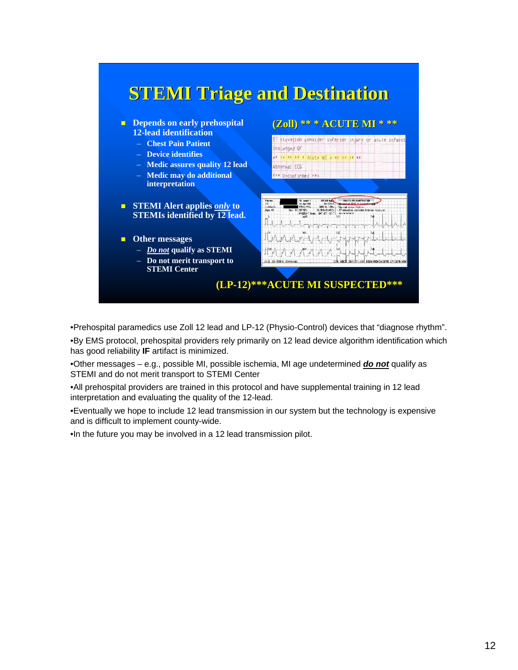

•Prehospital paramedics use Zoll 12 lead and LP-12 (Physio-Control) devices that "diagnose rhythm".

•By EMS protocol, prehospital providers rely primarily on 12 lead device algorithm identification which has good reliability **IF** artifact is minimized.

•Other messages – e.g., possible MI, possible ischemia, MI age undetermined *do not* qualify as STEMI and do not merit transport to STEMI Center

•All prehospital providers are trained in this protocol and have supplemental training in 12 lead interpretation and evaluating the quality of the 12-lead.

•Eventually we hope to include 12 lead transmission in our system but the technology is expensive and is difficult to implement county-wide.

•In the future you may be involved in a 12 lead transmission pilot.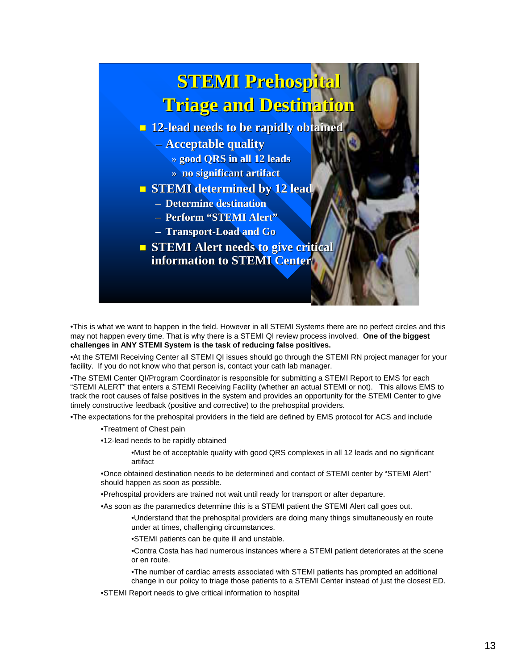

•This is what we want to happen in the field. However in all STEMI Systems there are no perfect circles and this may not happen every time. That is why there is a STEMI QI review process involved. **One of the biggest challenges in ANY STEMI System is the task of reducing false positives.**

•At the STEMI Receiving Center all STEMI QI issues should go through the STEMI RN project manager for your facility. If you do not know who that person is, contact your cath lab manager.

•The STEMI Center QI/Program Coordinator is responsible for submitting a STEMI Report to EMS for each "STEMI ALERT" that enters a STEMI Receiving Facility (whether an actual STEMI or not). This allows EMS to track the root causes of false positives in the system and provides an opportunity for the STEMI Center to give timely constructive feedback (positive and corrective) to the prehospital providers.

•The expectations for the prehospital providers in the field are defined by EMS protocol for ACS and include

- •Treatment of Chest pain
- •12-lead needs to be rapidly obtained

•Must be of acceptable quality with good QRS complexes in all 12 leads and no significant artifact

•Once obtained destination needs to be determined and contact of STEMI center by "STEMI Alert" should happen as soon as possible.

•Prehospital providers are trained not wait until ready for transport or after departure.

•As soon as the paramedics determine this is a STEMI patient the STEMI Alert call goes out.

•Understand that the prehospital providers are doing many things simultaneously en route under at times, challenging circumstances.

•STEMI patients can be quite ill and unstable.

•Contra Costa has had numerous instances where a STEMI patient deteriorates at the scene or en route.

•The number of cardiac arrests associated with STEMI patients has prompted an additional change in our policy to triage those patients to a STEMI Center instead of just the closest ED.

•STEMI Report needs to give critical information to hospital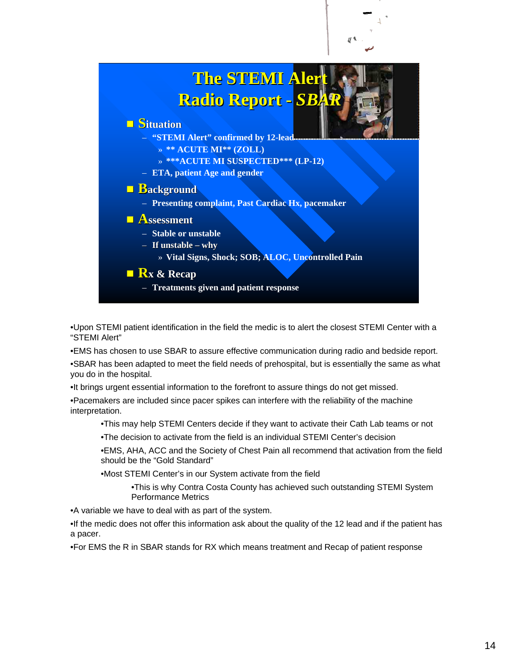

•Upon STEMI patient identification in the field the medic is to alert the closest STEMI Center with a "STEMI Alert"

•EMS has chosen to use SBAR to assure effective communication during radio and bedside report. •SBAR has been adapted to meet the field needs of prehospital, but is essentially the same as what you do in the hospital.

•It brings urgent essential information to the forefront to assure things do not get missed.

•Pacemakers are included since pacer spikes can interfere with the reliability of the machine interpretation.

•This may help STEMI Centers decide if they want to activate their Cath Lab teams or not

•The decision to activate from the field is an individual STEMI Center's decision

•EMS, AHA, ACC and the Society of Chest Pain all recommend that activation from the field should be the "Gold Standard"

•Most STEMI Center's in our System activate from the field

•This is why Contra Costa County has achieved such outstanding STEMI System Performance Metrics

•A variable we have to deal with as part of the system.

•If the medic does not offer this information ask about the quality of the 12 lead and if the patient has a pacer.

•For EMS the R in SBAR stands for RX which means treatment and Recap of patient response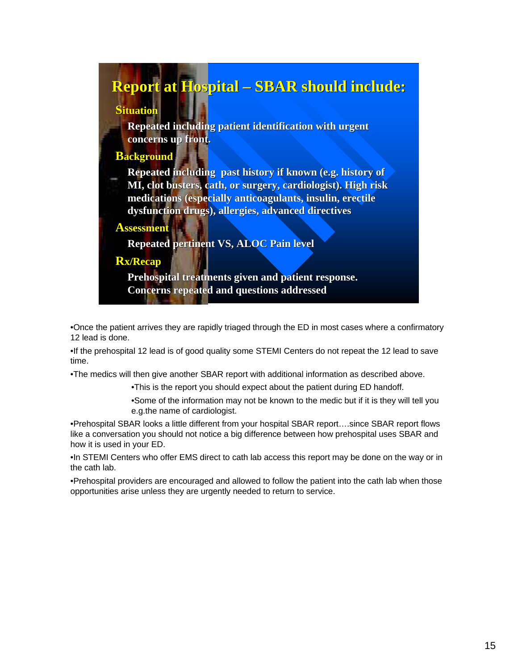### **Report at Hospital – SBAR should include:**

#### **Situation**

**Repeated including patient identification with urgent concerns up front. concerns up front.**

### **Background**

**Repeated including past history if known (e.g. history of MI, clot busters, cath, or surgery, cardiologist). High risk medications (especially anticoagulants, insulin, erectile dysfunction drugs), allergies, advanced directives dysfunction drugs), allergies, advanced directives**

#### **Assessment**

**Repeated pertinent VS, ALOC Pain level Repeated pertinent VS, ALOC Pain level**

#### **Rx/Recap**

**Prehospital treatments given and patient response. Concerns repeated and questions addressed**

•Once the patient arrives they are rapidly triaged through the ED in most cases where a confirmatory 12 lead is done.

•If the prehospital 12 lead is of good quality some STEMI Centers do not repeat the 12 lead to save time.

•The medics will then give another SBAR report with additional information as described above.

•This is the report you should expect about the patient during ED handoff.

•Some of the information may not be known to the medic but if it is they will tell you e.g.the name of cardiologist.

•Prehospital SBAR looks a little different from your hospital SBAR report….since SBAR report flows like a conversation you should not notice a big difference between how prehospital uses SBAR and how it is used in your ED.

•In STEMI Centers who offer EMS direct to cath lab access this report may be done on the way or in the cath lab.

•Prehospital providers are encouraged and allowed to follow the patient into the cath lab when those opportunities arise unless they are urgently needed to return to service.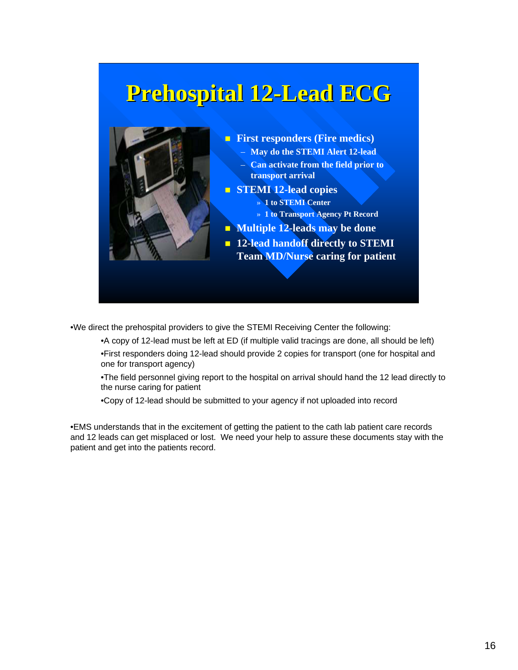## **Prehospital 12 Prehospital 12-Lead ECG Lead ECG**



**First responders (Fire medics)** – **May do the STEMI Alert 12-lead** – **Can activate from the field prior to transport arrival STEMI 12-lead copies** » **1 to STEMI Center**  » **1 to Transport Agency Pt Record Multiple 12-leads may be done 12-lead handoff directly to STEMI** 

**Team MD/Nurse caring for patient**

•We direct the prehospital providers to give the STEMI Receiving Center the following:

•A copy of 12-lead must be left at ED (if multiple valid tracings are done, all should be left) •First responders doing 12-lead should provide 2 copies for transport (one for hospital and one for transport agency)

•The field personnel giving report to the hospital on arrival should hand the 12 lead directly to the nurse caring for patient

•Copy of 12-lead should be submitted to your agency if not uploaded into record

•EMS understands that in the excitement of getting the patient to the cath lab patient care records and 12 leads can get misplaced or lost. We need your help to assure these documents stay with the patient and get into the patients record.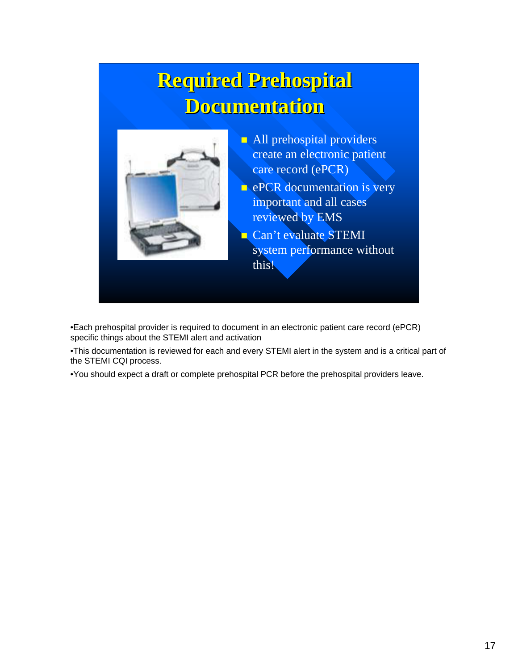## **Required Prehospital Documentation Documentation**



- All prehospital providers create an electronic patient care record (ePCR)
- **e** ePCR documentation is very important and all cases reviewed by EMS
- Can't evaluate STEMI system performance without this!

•Each prehospital provider is required to document in an electronic patient care record (ePCR) specific things about the STEMI alert and activation

•This documentation is reviewed for each and every STEMI alert in the system and is a critical part of the STEMI CQI process.

•You should expect a draft or complete prehospital PCR before the prehospital providers leave.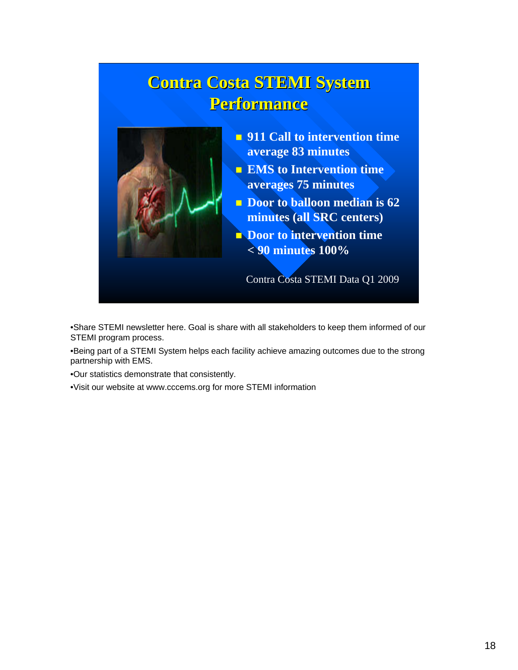## **Contra Costa STEMI System Contra Costa STEMI System Performance Performance**



- **911 Call to intervention time average 83 minutes**
- **EMS** to Intervention time **averages 75 minutes**
- **Door to balloon median is 62 minutes (all SRC centers)**
- **Door to intervention time < 90 minutes 100%**

Contra Costa STEMI Data Q1 2009

•Share STEMI newsletter here. Goal is share with all stakeholders to keep them informed of our STEMI program process.

•Being part of a STEMI System helps each facility achieve amazing outcomes due to the strong partnership with EMS.

•Our statistics demonstrate that consistently.

•Visit our website at www.cccems.org for more STEMI information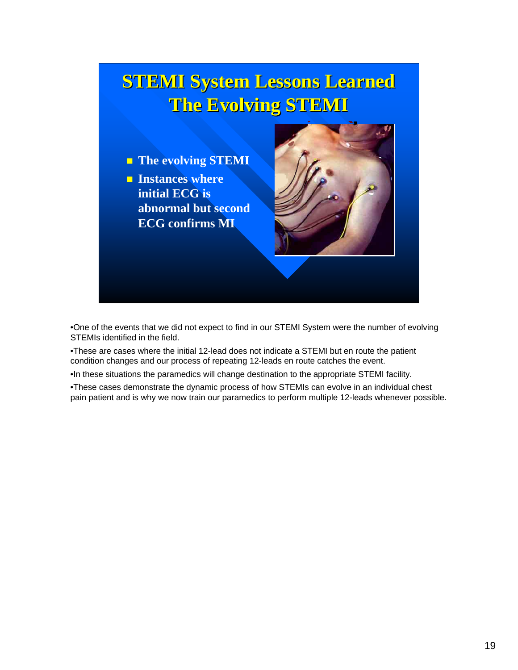## **STEMI System Lessons Learned The Evolving STEMI The Evolving STEMI**

**The evolving STEMI Instances where initial ECG is abnormal but second ECG confirms MI**



•One of the events that we did not expect to find in our STEMI System were the number of evolving STEMIs identified in the field.

•These are cases where the initial 12-lead does not indicate a STEMI but en route the patient condition changes and our process of repeating 12-leads en route catches the event.

•In these situations the paramedics will change destination to the appropriate STEMI facility.

•These cases demonstrate the dynamic process of how STEMIs can evolve in an individual chest pain patient and is why we now train our paramedics to perform multiple 12-leads whenever possible.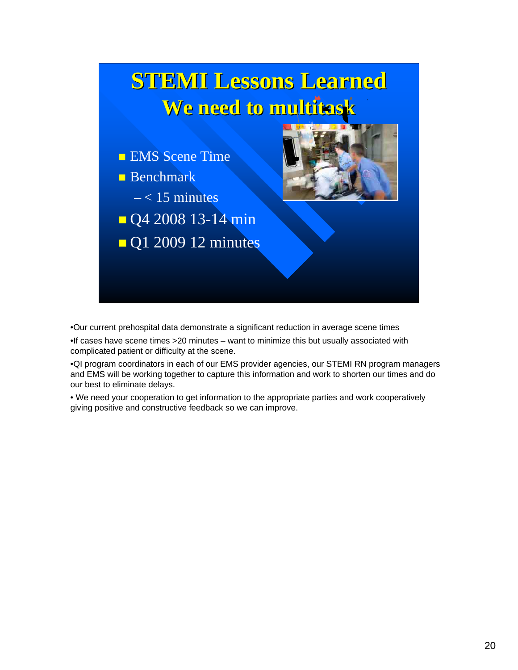

•Our current prehospital data demonstrate a significant reduction in average scene times

•If cases have scene times >20 minutes – want to minimize this but usually associated with complicated patient or difficulty at the scene.

•QI program coordinators in each of our EMS provider agencies, our STEMI RN program managers and EMS will be working together to capture this information and work to shorten our times and do our best to eliminate delays.

• We need your cooperation to get information to the appropriate parties and work cooperatively giving positive and constructive feedback so we can improve.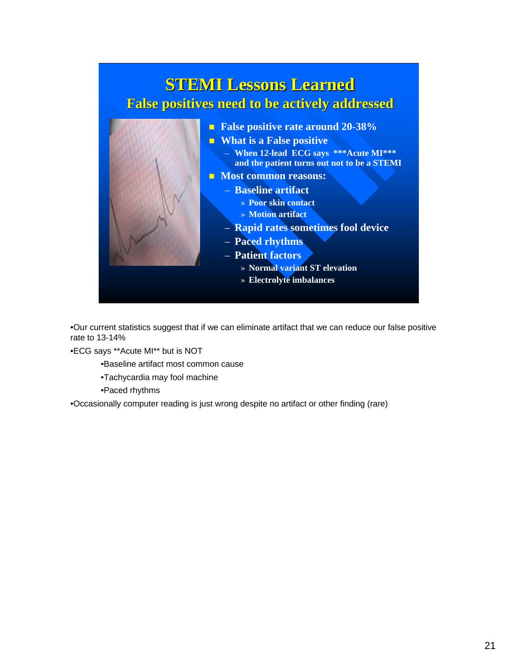

•Our current statistics suggest that if we can eliminate artifact that we can reduce our false positive rate to 13-14%

•ECG says \*\*Acute MI\*\* but is NOT

•Baseline artifact most common cause

•Tachycardia may fool machine

•Paced rhythms

•Occasionally computer reading is just wrong despite no artifact or other finding (rare)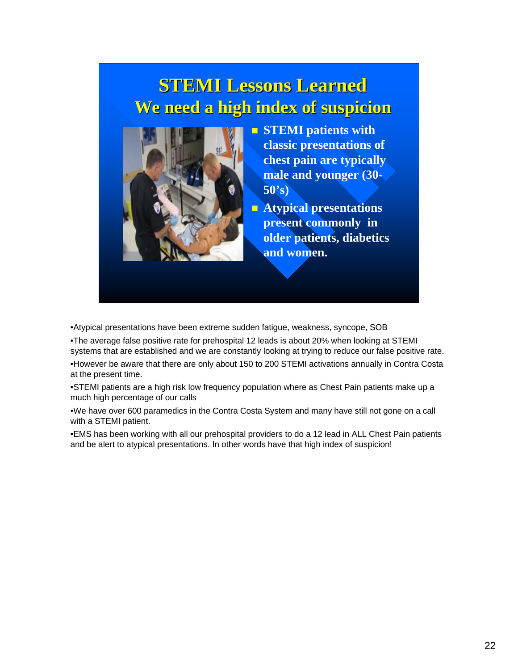## **STEMI Lessons Learned STEMI Lessons Learned We need a high index of suspicion We need a high index of suspicion**



- **STEMI patients with classic presentations of chest pain are typically male and younger (30- 50's)**
- **Atypical presentations present commonly in older patients, diabetics and women.**

•Atypical presentations have been extreme sudden fatigue, weakness, syncope, SOB

•The average false positive rate for prehospital 12 leads is about 20% when looking at STEMI systems that are established and we are constantly looking at trying to reduce our false positive rate. •However be aware that there are only about 150 to 200 STEMI activations annually in Contra Costa at the present time.

•STEMI patients are a high risk low frequency population where as Chest Pain patients make up a much high percentage of our calls

•We have over 600 paramedics in the Contra Costa System and many have still not gone on a call with a STEMI patient.

•EMS has been working with all our prehospital providers to do a 12 lead in ALL Chest Pain patients and be alert to atypical presentations. In other words have that high index of suspicion!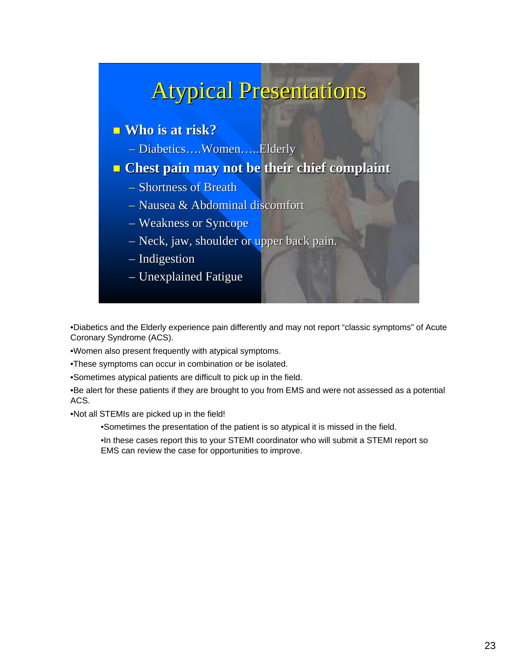## **Atypical Presentations**

### ■ Who is at risk?

– Diabetics….Women…..Elderly

### **<u>n</u>** Chest pain may not be their chief complaint

- $-$  Shortness of Breath
- $-$  Nausea & Abdominal discomfort
- $-$  Weakness or Syncope
- $-$  Neck, jaw, shoulder or upper back pain.
- $-$  Indigestion
- $-$  Unexplained Fatigue

•Diabetics and the Elderly experience pain differently and may not report "classic symptoms" of Acute Coronary Syndrome (ACS).

•Women also present frequently with atypical symptoms.

•These symptoms can occur in combination or be isolated.

•Sometimes atypical patients are difficult to pick up in the field.

•Be alert for these patients if they are brought to you from EMS and were not assessed as a potential ACS.

•Not all STEMIs are picked up in the field!

•Sometimes the presentation of the patient is so atypical it is missed in the field.

•In these cases report this to your STEMI coordinator who will submit a STEMI report so EMS can review the case for opportunities to improve.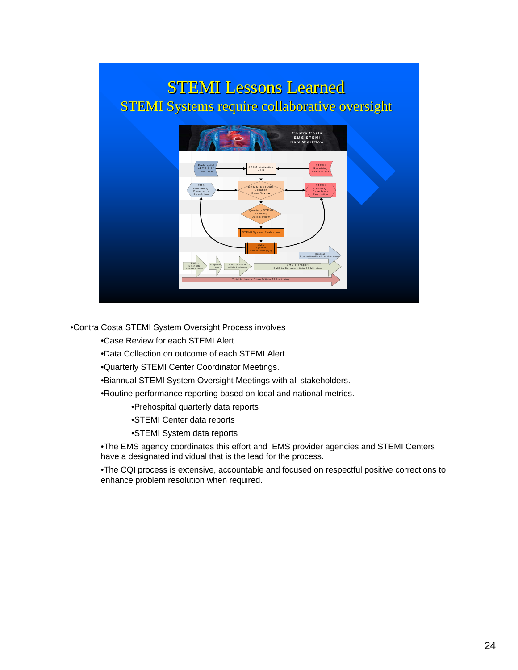### **STEMI Lessons Learned** STEMI Systems require collaborative oversight



•Contra Costa STEMI System Oversight Process involves

•Case Review for each STEMI Alert

•Data Collection on outcome of each STEMI Alert.

•Quarterly STEMI Center Coordinator Meetings.

•Biannual STEMI System Oversight Meetings with all stakeholders.

•Routine performance reporting based on local and national metrics.

•Prehospital quarterly data reports

- •STEMI Center data reports
- •STEMI System data reports

•The EMS agency coordinates this effort and EMS provider agencies and STEMI Centers have a designated individual that is the lead for the process.

•The CQI process is extensive, accountable and focused on respectful positive corrections to enhance problem resolution when required.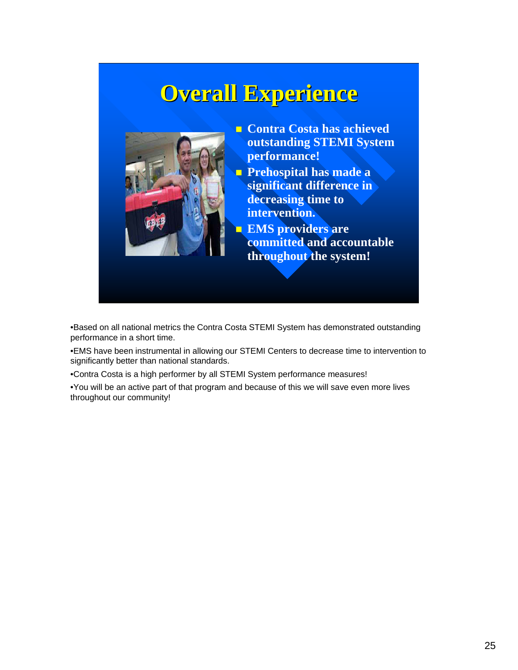## **Overall Experience Overall Experience**



- **Contra Costa has achieved outstanding STEMI System performance!**
- **Prehospital has made a significant difference in decreasing time to intervention.**
	- **EMS providers are committed and accountable throughout the system!**

•Based on all national metrics the Contra Costa STEMI System has demonstrated outstanding performance in a short time.

•EMS have been instrumental in allowing our STEMI Centers to decrease time to intervention to significantly better than national standards.

•Contra Costa is a high performer by all STEMI System performance measures!

•You will be an active part of that program and because of this we will save even more lives throughout our community!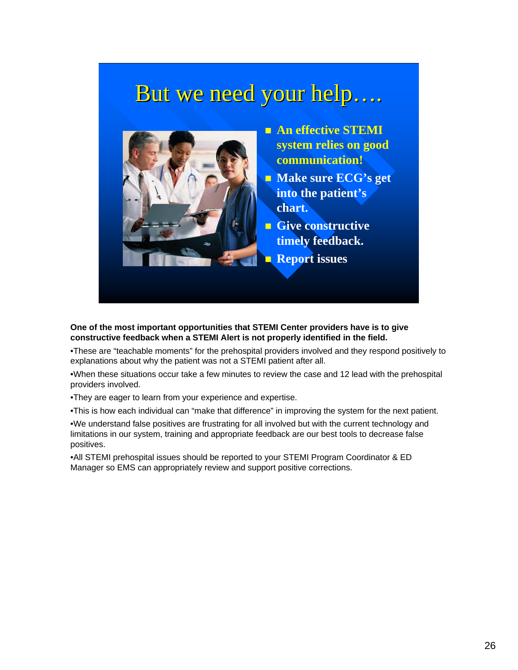## But we need your help….



 **An effective STEMI system relies on good communication!**

**Make sure ECG's get into the patient's chart.**

**Give constructive timely feedback. Report issues** 

**One of the most important opportunities that STEMI Center providers have is to give constructive feedback when a STEMI Alert is not properly identified in the field.**

•These are "teachable moments" for the prehospital providers involved and they respond positively to explanations about why the patient was not a STEMI patient after all.

•When these situations occur take a few minutes to review the case and 12 lead with the prehospital providers involved.

•They are eager to learn from your experience and expertise.

•This is how each individual can "make that difference" in improving the system for the next patient.

•We understand false positives are frustrating for all involved but with the current technology and limitations in our system, training and appropriate feedback are our best tools to decrease false positives.

•All STEMI prehospital issues should be reported to your STEMI Program Coordinator & ED Manager so EMS can appropriately review and support positive corrections.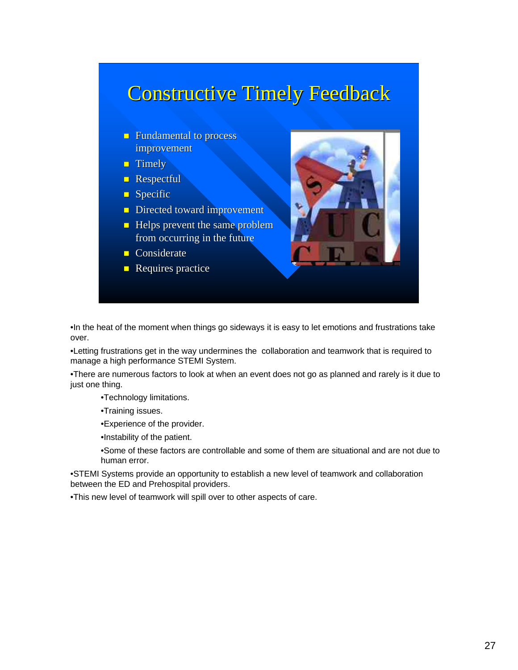## **Constructive Timely Feedback**

- $\Box$  Fundamental to process improvement improvement
- $\blacksquare$  Timely
- **Respectful**
- $Specific$
- Directed toward improvement
- $\blacksquare$  Helps prevent the same problem from occurring in the future
- $\Box$  Considerate
- $\blacksquare$  Requires practice



•In the heat of the moment when things go sideways it is easy to let emotions and frustrations take over.

•Letting frustrations get in the way undermines the collaboration and teamwork that is required to manage a high performance STEMI System.

•There are numerous factors to look at when an event does not go as planned and rarely is it due to just one thing.

•Technology limitations.

•Training issues.

•Experience of the provider.

•Instability of the patient.

•Some of these factors are controllable and some of them are situational and are not due to human error.

•STEMI Systems provide an opportunity to establish a new level of teamwork and collaboration between the ED and Prehospital providers.

•This new level of teamwork will spill over to other aspects of care.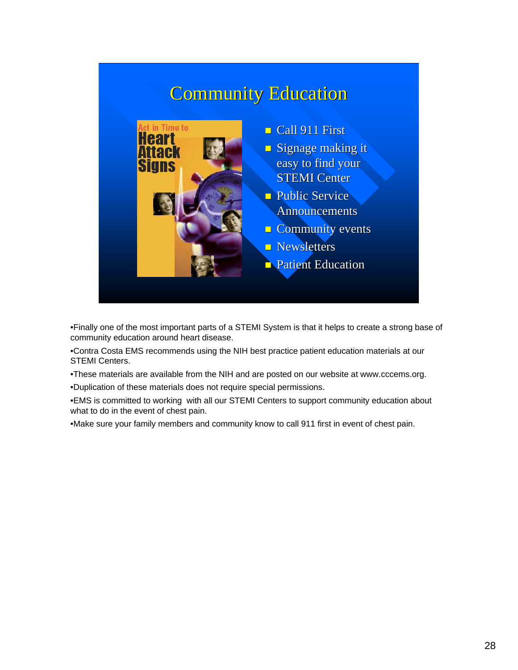## **Community Education**



•Finally one of the most important parts of a STEMI System is that it helps to create a strong base of community education around heart disease.

•Contra Costa EMS recommends using the NIH best practice patient education materials at our STEMI Centers.

•These materials are available from the NIH and are posted on our website at www.cccems.org.

•Duplication of these materials does not require special permissions.

•EMS is committed to working with all our STEMI Centers to support community education about what to do in the event of chest pain.

•Make sure your family members and community know to call 911 first in event of chest pain.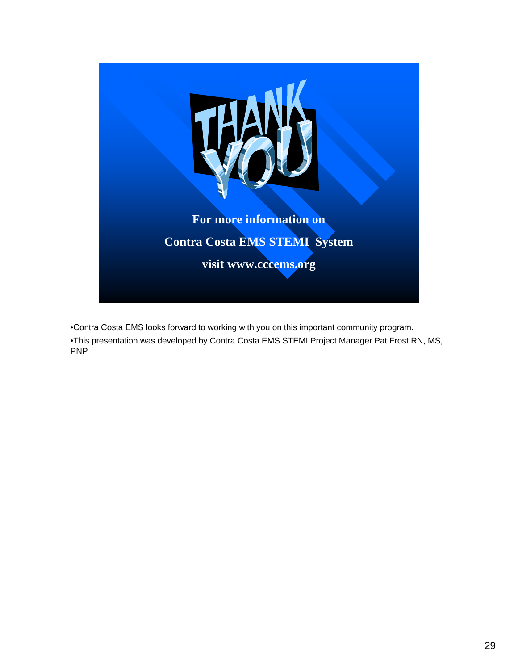

•Contra Costa EMS looks forward to working with you on this important community program. •This presentation was developed by Contra Costa EMS STEMI Project Manager Pat Frost RN, MS, PNP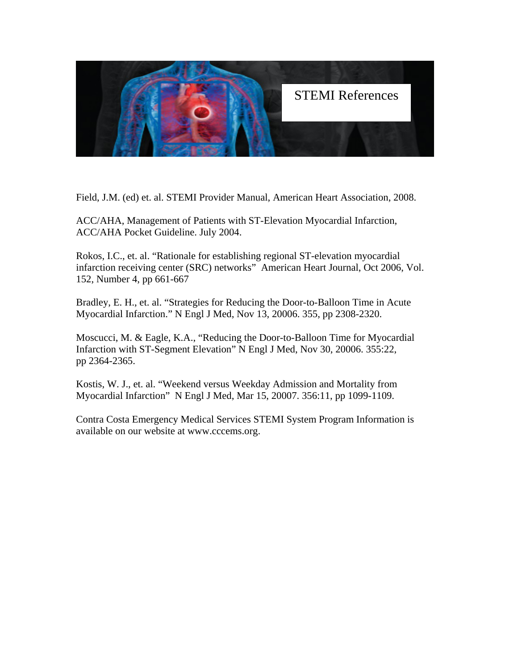

Field, J.M. (ed) et. al. STEMI Provider Manual, American Heart Association, 2008.

ACC/AHA, Management of Patients with ST-Elevation Myocardial Infarction, ACC/AHA Pocket Guideline. July 2004.

Rokos, I.C., et. al. "Rationale for establishing regional ST-elevation myocardial infarction receiving center (SRC) networks" American Heart Journal, Oct 2006, Vol. 152, Number 4, pp 661-667

Bradley, E. H., et. al. "Strategies for Reducing the Door-to-Balloon Time in Acute Myocardial Infarction." N Engl J Med, Nov 13, 20006. 355, pp 2308-2320.

Moscucci, M. & Eagle, K.A., "Reducing the Door-to-Balloon Time for Myocardial Infarction with ST-Segment Elevation" N Engl J Med, Nov 30, 20006. 355:22, pp 2364-2365.

Kostis, W. J., et. al. "Weekend versus Weekday Admission and Mortality from Myocardial Infarction" N Engl J Med, Mar 15, 20007. 356:11, pp 1099-1109.

Contra Costa Emergency Medical Services STEMI System Program Information is available on our website at www.cccems.org.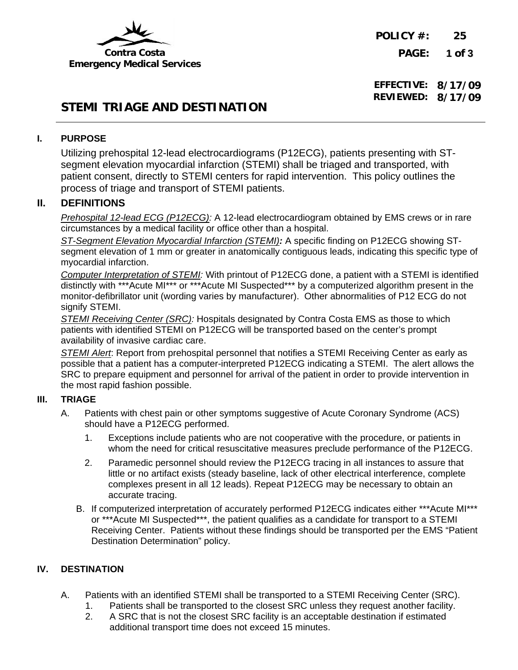

**POLICY #: 25 PAGE: 1 of 3**

**EFFECTIVE: 8/17/09 REVIEWED: 8/17/09**

### **STEMI TRIAGE AND DESTINATION**

### **I. PURPOSE**

Utilizing prehospital 12-lead electrocardiograms (P12ECG), patients presenting with STsegment elevation myocardial infarction (STEMI) shall be triaged and transported, with patient consent, directly to STEMI centers for rapid intervention. This policy outlines the process of triage and transport of STEMI patients.

### **II. DEFINITIONS**

*Prehospital 12-lead ECG (P12ECG):* A 12-lead electrocardiogram obtained by EMS crews or in rare circumstances by a medical facility or office other than a hospital.

*ST-Segment Elevation Myocardial Infarction (STEMI):* A specific finding on P12ECG showing STsegment elevation of 1 mm or greater in anatomically contiguous leads, indicating this specific type of myocardial infarction.

*Computer Interpretation of STEMI:* With printout of P12ECG done, a patient with a STEMI is identified distinctly with \*\*\*Acute MI\*\*\* or \*\*\*Acute MI Suspected\*\*\* by a computerized algorithm present in the monitor-defibrillator unit (wording varies by manufacturer). Other abnormalities of P12 ECG do not signify STEMI.

*STEMI Receiving Center (SRC):* Hospitals designated by Contra Costa EMS as those to which patients with identified STEMI on P12ECG will be transported based on the center's prompt availability of invasive cardiac care.

*STEMI Alert*: Report from prehospital personnel that notifies a STEMI Receiving Center as early as possible that a patient has a computer-interpreted P12ECG indicating a STEMI. The alert allows the SRC to prepare equipment and personnel for arrival of the patient in order to provide intervention in the most rapid fashion possible.

#### **III. TRIAGE**

- A. Patients with chest pain or other symptoms suggestive of Acute Coronary Syndrome (ACS) should have a P12ECG performed.
	- 1. Exceptions include patients who are not cooperative with the procedure, or patients in whom the need for critical resuscitative measures preclude performance of the P12ECG.
	- 2. Paramedic personnel should review the P12ECG tracing in all instances to assure that little or no artifact exists (steady baseline, lack of other electrical interference, complete complexes present in all 12 leads). Repeat P12ECG may be necessary to obtain an accurate tracing.
	- B. If computerized interpretation of accurately performed P12ECG indicates either \*\*\*Acute MI\*\*\* or \*\*\*Acute MI Suspected\*\*\*, the patient qualifies as a candidate for transport to a STEMI Receiving Center. Patients without these findings should be transported per the EMS "Patient Destination Determination" policy.

### **IV. DESTINATION**

- A. Patients with an identified STEMI shall be transported to a STEMI Receiving Center (SRC).
	- 1. Patients shall be transported to the closest SRC unless they request another facility.
	- 2. A SRC that is not the closest SRC facility is an acceptable destination if estimated additional transport time does not exceed 15 minutes.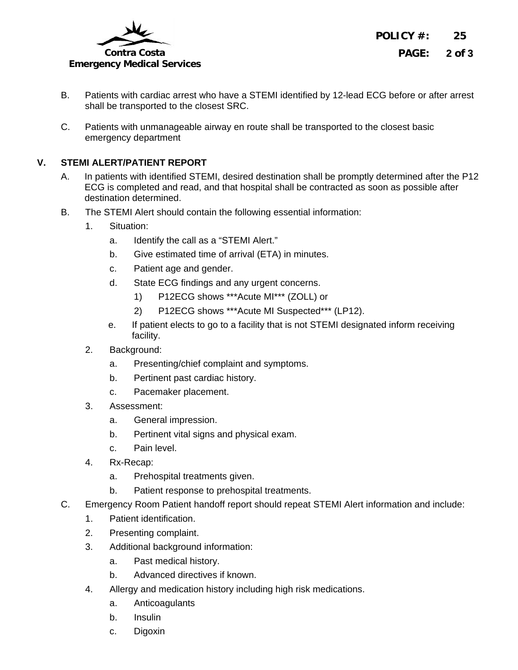

**POLICY #: 25 PAGE: 2 of 3**

- B. Patients with cardiac arrest who have a STEMI identified by 12-lead ECG before or after arrest shall be transported to the closest SRC.
- C. Patients with unmanageable airway en route shall be transported to the closest basic emergency department

### **V. STEMI ALERT/PATIENT REPORT**

- A. In patients with identified STEMI, desired destination shall be promptly determined after the P12 ECG is completed and read, and that hospital shall be contracted as soon as possible after destination determined.
- B. The STEMI Alert should contain the following essential information:
	- 1. Situation:
		- a. Identify the call as a "STEMI Alert."
		- b. Give estimated time of arrival (ETA) in minutes.
		- c. Patient age and gender.
		- d. State ECG findings and any urgent concerns.
			- 1) P12ECG shows \*\*\*Acute MI\*\*\* (ZOLL) or
			- 2) P12ECG shows \*\*\*Acute MI Suspected\*\*\* (LP12).
		- e. If patient elects to go to a facility that is not STEMI designated inform receiving facility.
	- 2. Background:
		- a. Presenting/chief complaint and symptoms.
		- b. Pertinent past cardiac history.
		- c. Pacemaker placement.
	- 3. Assessment:
		- a. General impression.
		- b. Pertinent vital signs and physical exam.
		- c. Pain level.
	- 4. Rx-Recap:
		- a. Prehospital treatments given.
		- b. Patient response to prehospital treatments.
- C. Emergency Room Patient handoff report should repeat STEMI Alert information and include:
	- 1. Patient identification.
	- 2. Presenting complaint.
	- 3. Additional background information:
		- a. Past medical history.
		- b. Advanced directives if known.
	- 4. Allergy and medication history including high risk medications.
		- a. Anticoagulants
		- b. Insulin
		- c. Digoxin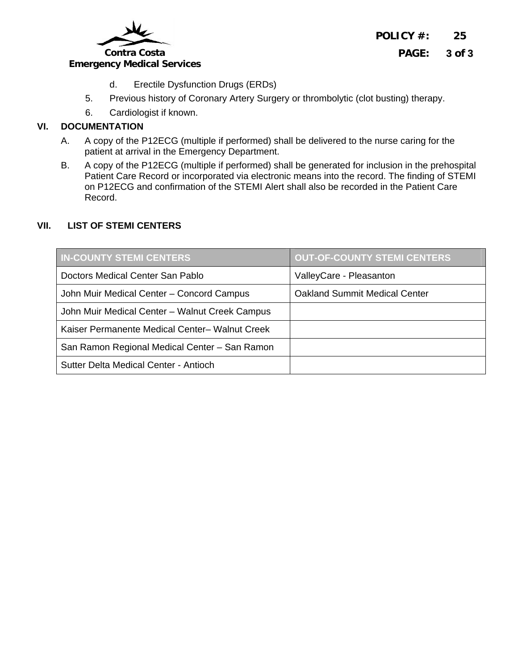

### **Emergency Medical Services**

- d. Erectile Dysfunction Drugs (ERDs)
- 5. Previous history of Coronary Artery Surgery or thrombolytic (clot busting) therapy.
- 6. Cardiologist if known.

### **VI. DOCUMENTATION**

- A. A copy of the P12ECG (multiple if performed) shall be delivered to the nurse caring for the patient at arrival in the Emergency Department.
- B. A copy of the P12ECG (multiple if performed) shall be generated for inclusion in the prehospital Patient Care Record or incorporated via electronic means into the record. The finding of STEMI on P12ECG and confirmation of the STEMI Alert shall also be recorded in the Patient Care Record.

### **VII. LIST OF STEMI CENTERS**

| <b>IN-COUNTY STEMI CENTERS</b>                 | <b>OUT-OF-COUNTY STEMI CENTERS</b>   |
|------------------------------------------------|--------------------------------------|
| Doctors Medical Center San Pablo               | ValleyCare - Pleasanton              |
| John Muir Medical Center - Concord Campus      | <b>Oakland Summit Medical Center</b> |
| John Muir Medical Center - Walnut Creek Campus |                                      |
| Kaiser Permanente Medical Center- Walnut Creek |                                      |
| San Ramon Regional Medical Center - San Ramon  |                                      |
| Sutter Delta Medical Center - Antioch          |                                      |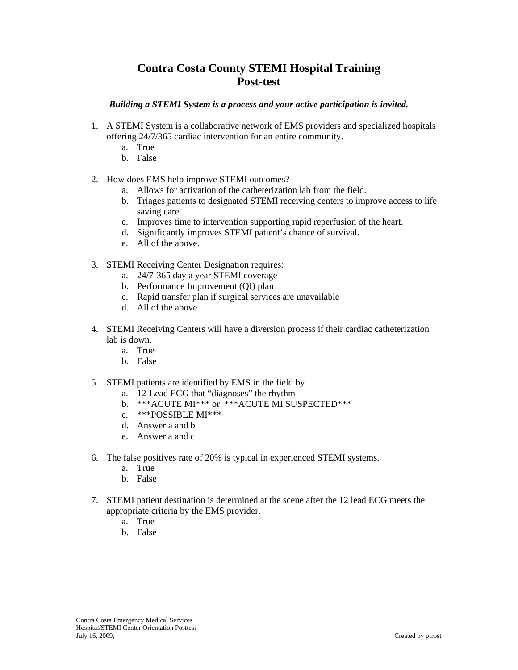### **Contra Costa County STEMI Hospital Training Post-test**

#### *Building a STEMI System is a process and your active participation is invited.*

- 1. A STEMI System is a collaborative network of EMS providers and specialized hospitals offering 24/7/365 cardiac intervention for an entire community.
	- a. True
	- b. False
- 2. How does EMS help improve STEMI outcomes?
	- a. Allows for activation of the catheterization lab from the field.
	- b. Triages patients to designated STEMI receiving centers to improve access to life saving care.
	- c. Improves time to intervention supporting rapid reperfusion of the heart.
	- d. Significantly improves STEMI patient's chance of survival.
	- e. All of the above.
- 3. STEMI Receiving Center Designation requires:
	- a. 24/7-365 day a year STEMI coverage
	- b. Performance Improvement (QI) plan
	- c. Rapid transfer plan if surgical services are unavailable
	- d. All of the above
- 4. STEMI Receiving Centers will have a diversion process if their cardiac catheterization lab is down.
	- a. True
	- b. False
- 5. STEMI patients are identified by EMS in the field by
	- a. 12-Lead ECG that "diagnoses" the rhythm
	- b. \*\*\*ACUTE MI\*\*\* or \*\*\*ACUTE MI SUSPECTED\*\*\*
	- c. \*\*\*POSSIBLE MI\*\*\*
	- d. Answer a and b
	- e. Answer a and c
- 6. The false positives rate of 20% is typical in experienced STEMI systems.
	- a. True
	- b. False
- 7. STEMI patient destination is determined at the scene after the 12 lead ECG meets the appropriate criteria by the EMS provider.
	- a. True
	- b. False